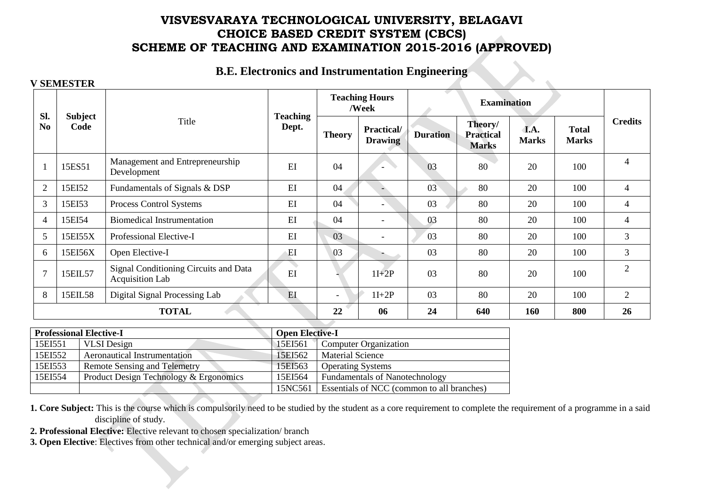#### **B.E. Electronics and Instrumentation Engineering**

#### **V SEMESTER**

|                       |                        |                                                          |                          |               | <b>Teaching Hours</b><br>/Week |                 | <b>Examination</b>                          |                      |                              |                |
|-----------------------|------------------------|----------------------------------------------------------|--------------------------|---------------|--------------------------------|-----------------|---------------------------------------------|----------------------|------------------------------|----------------|
| Sl.<br>N <sub>0</sub> | <b>Subject</b><br>Code | Title                                                    | <b>Teaching</b><br>Dept. | <b>Theory</b> | Practical/<br><b>Drawing</b>   | <b>Duration</b> | Theory/<br><b>Practical</b><br><b>Marks</b> | I.A.<br><b>Marks</b> | <b>Total</b><br><b>Marks</b> | <b>Credits</b> |
|                       | 15ES51                 | Management and Entrepreneurship<br>Development           | EI                       | 04            |                                | 03              | 80                                          | 20                   | 100                          | 4              |
| $\overline{2}$        | 15EI52                 | Fundamentals of Signals & DSP                            | EI                       | 04            | $-$                            | 03              | 80                                          | 20                   | 100                          | $\overline{4}$ |
| 3                     | 15EI53                 | Process Control Systems                                  | EI                       | 04            |                                | 03              | 80                                          | 20                   | 100                          | $\overline{4}$ |
| $\overline{4}$        | 15EI54                 | <b>Biomedical Instrumentation</b>                        | EI                       | 04            | $\overline{\phantom{a}}$       | 03              | 80                                          | 20                   | 100                          | $\overline{4}$ |
| 5                     | 15EI55X                | Professional Elective-I                                  | EI                       | 03            | $\overline{\phantom{a}}$       | 03              | 80                                          | 20                   | 100                          | $\overline{3}$ |
| 6                     | 15EI56X                | Open Elective-I                                          | EI                       | 03            |                                | 03              | 80                                          | 20                   | 100                          | 3              |
| $\overline{7}$        | 15EIL57                | Signal Conditioning Circuits and Data<br>Acquisition Lab | EI                       |               | $1I+2P$                        | 03              | 80                                          | 20                   | 100                          | $\overline{2}$ |
| 8                     | 15EIL58                | Digital Signal Processing Lab                            | E                        |               | $1I+2P$                        | 03              | 80                                          | 20                   | 100                          | 2              |
|                       | <b>TOTAL</b>           |                                                          |                          |               | 06                             | 24              | 640                                         | 160                  | 800                          | 26             |

|         | <b>Professional Elective-I</b>         | <b>Open Elective-I</b> |                                            |
|---------|----------------------------------------|------------------------|--------------------------------------------|
| 15EI551 | <b>VLSI</b> Design                     | 15EI561                | <b>Computer Organization</b>               |
| 15EI552 | <b>Aeronautical Instrumentation</b>    | 15EI562                | <b>Material Science</b>                    |
| 15EI553 | <b>Remote Sensing and Telemetry</b>    | 15EI563                | <b>Operating Systems</b>                   |
| 15EI554 | Product Design Technology & Ergonomics | 15EI564                | <b>Fundamentals of Nanotechnology</b>      |
|         |                                        | 15NC561                | Essentials of NCC (common to all branches) |

**1. Core Subject:** This is the course which is compulsorily need to be studied by the student as a core requirement to complete the requirement of a programme in a said discipline of study.

**2. Professional Elective:** Elective relevant to chosen specialization/ branch

**3. Open Elective**: Electives from other technical and/or emerging subject areas.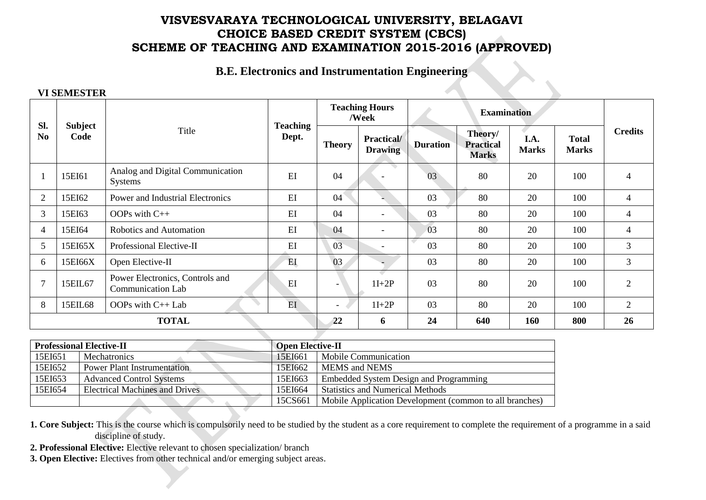# **B.E. Electronics and Instrumentation Engineering**

#### **VI SEMESTER**

| SI.            |                        |                                                             |                          |                          | <b>Teaching Hours</b><br><b>Examination</b><br>/Week |                 |                                             |                      |                              |                |
|----------------|------------------------|-------------------------------------------------------------|--------------------------|--------------------------|------------------------------------------------------|-----------------|---------------------------------------------|----------------------|------------------------------|----------------|
| N <sub>0</sub> | <b>Subject</b><br>Code | Title                                                       | <b>Teaching</b><br>Dept. | <b>Theory</b>            | <b>Practical/</b><br><b>Drawing</b>                  | <b>Duration</b> | Theory/<br><b>Practical</b><br><b>Marks</b> | I.A.<br><b>Marks</b> | <b>Total</b><br><b>Marks</b> | <b>Credits</b> |
| $\mathbf{1}$   | 15EI61                 | Analog and Digital Communication<br><b>Systems</b>          | EI                       | 04                       |                                                      | 03              | 80                                          | 20                   | 100                          | 4              |
| 2              | 15EI62                 | Power and Industrial Electronics                            | EI                       | 04                       |                                                      | 03              | 80                                          | 20                   | 100                          | $\overline{4}$ |
| 3              | 15EI63                 | OOPs with $C++$                                             | EI                       | 04                       | $\overline{\phantom{0}}$                             | 03              | 80                                          | 20                   | 100                          | $\overline{4}$ |
| $\overline{4}$ | 15EI64                 | Robotics and Automation                                     | EI                       | 04                       | $\overline{\phantom{a}}$                             | 03              | 80                                          | 20                   | 100                          | 4              |
| 5              | 15EI65X                | Professional Elective-II                                    | EI                       | 03                       | $\overline{\phantom{0}}$                             | 03              | 80                                          | 20                   | 100                          | 3              |
| 6              | 15EI66X                | Open Elective-II                                            | EI                       | 03                       |                                                      | 03              | 80                                          | 20                   | 100                          | $\mathfrak{Z}$ |
| $\overline{7}$ | 15EIL67                | Power Electronics, Controls and<br><b>Communication Lab</b> | EI                       |                          | $1I+2P$                                              | 03              | 80                                          | 20                   | 100                          | $\overline{2}$ |
| 8              | 15EIL68                | OOPs with C++ Lab                                           | EI                       | $\overline{\phantom{0}}$ | $1I+2P$                                              | 03              | 80                                          | 20                   | 100                          | 2              |
|                |                        | <b>TOTAL</b>                                                |                          | 22                       | 6                                                    | 24              | 640                                         | 160                  | 800                          | 26             |
|                |                        |                                                             |                          |                          |                                                      |                 |                                             |                      |                              |                |

|         | <b>Professional Elective-II</b>       | <b>Open Elective-II</b> |                                                         |  |
|---------|---------------------------------------|-------------------------|---------------------------------------------------------|--|
| 15EI651 | <b>Mechatronics</b>                   | 15EI661                 | <b>Mobile Communication</b>                             |  |
| 15EI652 | <b>Power Plant Instrumentation</b>    | 15EI662                 | <b>MEMS</b> and <b>NEMS</b>                             |  |
| 15EI653 | <b>Advanced Control Systems</b>       | 15EI663                 | Embedded System Design and Programming                  |  |
| 15EI654 | <b>Electrical Machines and Drives</b> | 15EI664                 | <b>Statistics and Numerical Methods</b>                 |  |
|         |                                       | 15CS661                 | Mobile Application Development (common to all branches) |  |

**1. Core Subject:** This is the course which is compulsorily need to be studied by the student as a core requirement to complete the requirement of a programme in a said discipline of study.

- **2. Professional Elective:** Elective relevant to chosen specialization/ branch
- **3. Open Elective:** Electives from other technical and/or emerging subject areas.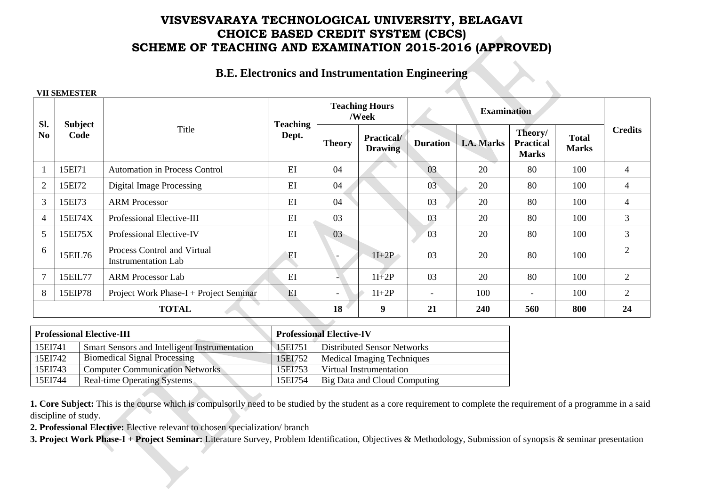#### **B.E. Electronics and Instrumentation Engineering**

#### **VII SEMESTER**

|                       |                        |                                                                  |                          |               | <b>Teaching Hours</b><br>/Week      |                          | <b>Examination</b> |                                             |                              |                |
|-----------------------|------------------------|------------------------------------------------------------------|--------------------------|---------------|-------------------------------------|--------------------------|--------------------|---------------------------------------------|------------------------------|----------------|
| Sl.<br>N <sub>0</sub> | <b>Subject</b><br>Code | Title                                                            | <b>Teaching</b><br>Dept. | <b>Theory</b> | <b>Practical/</b><br><b>Drawing</b> | <b>Duration</b>          | <b>I.A. Marks</b>  | Theory/<br><b>Practical</b><br><b>Marks</b> | <b>Total</b><br><b>Marks</b> | <b>Credits</b> |
|                       | 15EI71                 | <b>Automation in Process Control</b>                             | EI                       | 04            |                                     | 03                       | 20                 | 80                                          | 100                          | $\overline{4}$ |
| $\overline{2}$        | 15EI72                 | <b>Digital Image Processing</b>                                  | EI                       | 04            |                                     | 03                       | 20                 | 80                                          | 100                          | 4              |
| 3                     | 15EI73                 | <b>ARM Processor</b>                                             | EI                       | 04            |                                     | 03                       | 20                 | 80                                          | 100                          | 4              |
| $\overline{4}$        | 15EI74X                | Professional Elective-III                                        | EI                       | 03            |                                     | 03                       | 20                 | 80                                          | 100                          | 3              |
| 5                     | 15EI75X                | Professional Elective-IV                                         | EI                       | 03            |                                     | 03                       | 20                 | 80                                          | 100                          | $\mathfrak{Z}$ |
| 6                     | 15EIL76                | <b>Process Control and Virtual</b><br><b>Instrumentation Lab</b> | EI                       |               | $1I+2P$                             | 03                       | 20                 | 80                                          | 100                          | $\overline{2}$ |
| $\overline{7}$        | 15EIL77                | <b>ARM Processor Lab</b>                                         | E                        |               | $1I+2P$                             | 03                       | 20                 | 80                                          | 100                          | 2              |
| 8                     | 15EIP78                | Project Work Phase-I + Project Seminar                           | EI                       |               | $1I+2P$                             | $\overline{\phantom{a}}$ | 100                | $\overline{\phantom{0}}$                    | 100                          | $\overline{2}$ |
|                       | <b>TOTAL</b>           |                                                                  |                          |               | 9                                   | 21                       | 240                | 560                                         | 800                          | 24             |

|         | <b>Professional Elective-III</b>              |         | <b>Professional Elective-IV</b> |
|---------|-----------------------------------------------|---------|---------------------------------|
| 15EI741 | Smart Sensors and Intelligent Instrumentation | 15EI751 | Distributed Sensor Networks     |
| 15EI742 | <b>Biomedical Signal Processing</b>           | 15EI752 | Medical Imaging Techniques      |
| 15EI743 | <b>Computer Communication Networks</b>        | 15EI753 | Virtual Instrumentation         |
| 15EI744 | Real-time Operating Systems                   | 15EI754 | Big Data and Cloud Computing    |

**1. Core Subject:** This is the course which is compulsorily need to be studied by the student as a core requirement to complete the requirement of a programme in a said discipline of study.

**2. Professional Elective:** Elective relevant to chosen specialization/ branch

**3. Project Work Phase-I + Project Seminar:** Literature Survey, Problem Identification, Objectives & Methodology, Submission of synopsis & seminar presentation